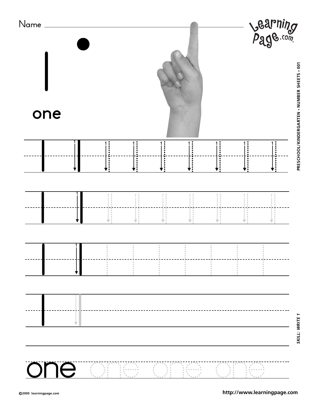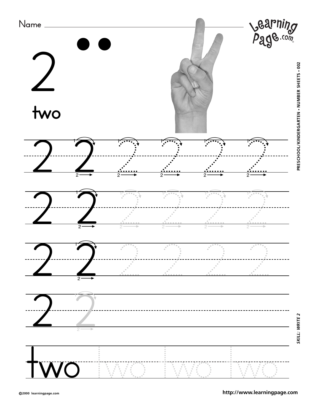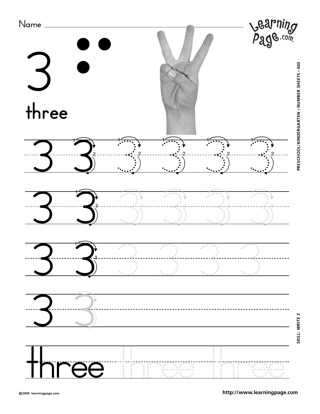

**<http://www.learningpage.com>**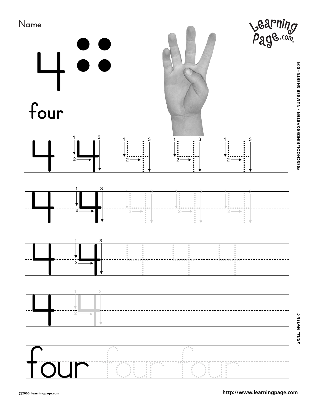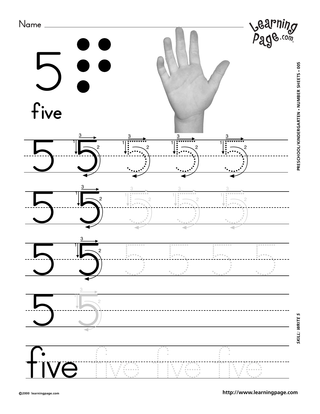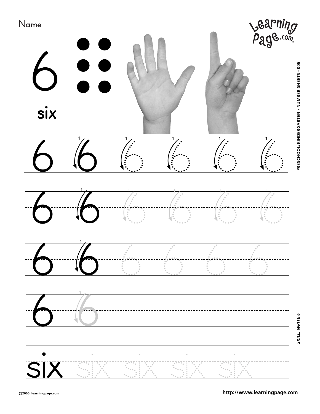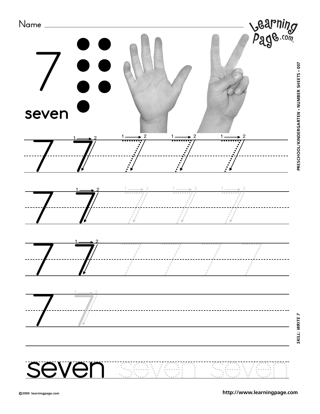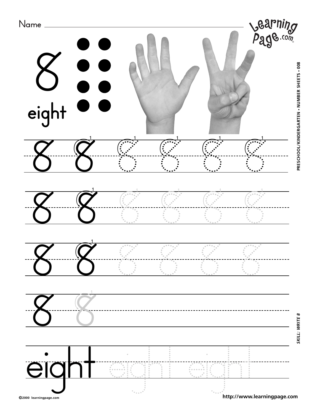

PRESCHOOL/KINDERGARTEN . NUMBER SHEETS . 008 **PRESCHOOL/KINDERGARTEN • NUMBER SHEETS • 008**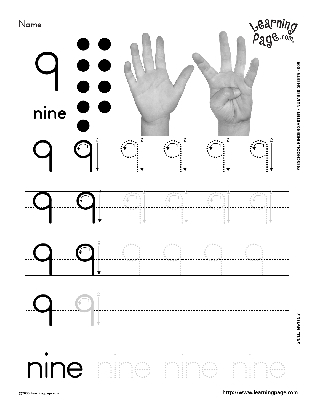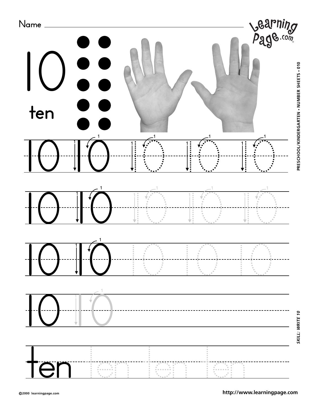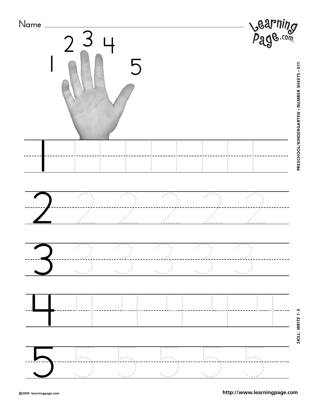